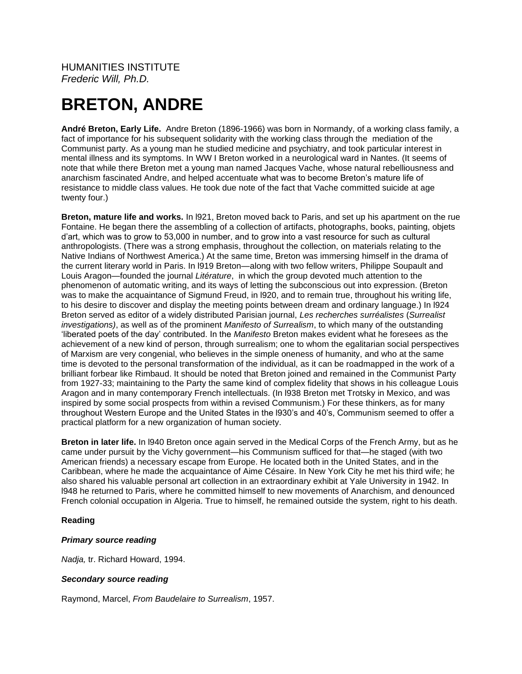HUMANITIES INSTITUTE *Frederic Will, Ph.D.*

# **BRETON, ANDRE**

**André Breton, Early Life.** Andre Breton (1896-1966) was born in Normandy, of a working class family, a fact of importance for his subsequent solidarity with the working class through the mediation of the Communist party. As a young man he studied medicine and psychiatry, and took particular interest in mental illness and its symptoms. In WW I Breton worked in a neurological ward in Nantes. (It seems of note that while there Breton met a young man named Jacques Vache, whose natural rebelliousness and anarchism fascinated Andre, and helped accentuate what was to become Breton's mature life of resistance to middle class values. He took due note of the fact that Vache committed suicide at age twenty four.)

**Breton, mature life and works.** In l921, Breton moved back to Paris, and set up his apartment on the rue Fontaine. He began there the assembling of a collection of artifacts, photographs, books, painting, objets d'art, which was to grow to 53,000 in number, and to grow into a vast resource for such as cultural anthropologists. (There was a strong emphasis, throughout the collection, on materials relating to the Native Indians of Northwest America.) At the same time, Breton was immersing himself in the drama of the current literary world in Paris. In l919 Breton—along with two fellow writers, Philippe Soupault and Louis Aragon—founded the journal *Litérature*, in which the group devoted much attention to the phenomenon of automatic writing, and its ways of letting the subconscious out into expression. (Breton was to make the acquaintance of Sigmund Freud, in l920, and to remain true, throughout his writing life, to his desire to discover and display the meeting points between dream and ordinary language.) In l924 Breton served as editor of a widely distributed Parisian journal, *Les recherches surréalistes* (*Surrealist investigations)*, as well as of the prominent *Manifesto of Surrealism*, to which many of the outstanding 'liberated poets of the day' contributed. In the *Manifesto* Breton makes evident what he foresees as the achievement of a new kind of person, through surrealism; one to whom the egalitarian social perspectives of Marxism are very congenial, who believes in the simple oneness of humanity, and who at the same time is devoted to the personal transformation of the individual, as it can be roadmapped in the work of a brilliant forbear like Rimbaud. It should be noted that Breton joined and remained in the Communist Party from 1927-33; maintaining to the Party the same kind of complex fidelity that shows in his colleague Louis Aragon and in many contemporary French intellectuals. (In l938 Breton met Trotsky in Mexico, and was inspired by some social prospects from within a revised Communism.) For these thinkers, as for many throughout Western Europe and the United States in the l930's and 40's, Communism seemed to offer a practical platform for a new organization of human society.

**Breton in later life.** In l940 Breton once again served in the Medical Corps of the French Army, but as he came under pursuit by the Vichy government—his Communism sufficed for that—he staged (with two American friends) a necessary escape from Europe. He located both in the United States, and in the Caribbean, where he made the acquaintance of Aime Césaire. In New York City he met his third wife; he also shared his valuable personal art collection in an extraordinary exhibit at Yale University in 1942. In l948 he returned to Paris, where he committed himself to new movements of Anarchism, and denounced French colonial occupation in Algeria. True to himself, he remained outside the system, right to his death.

## **Reading**

## *Primary source reading*

*Nadja,* tr. Richard Howard, 1994.

## *Secondary source reading*

Raymond, Marcel, *From Baudelaire to Surrealism*, 1957.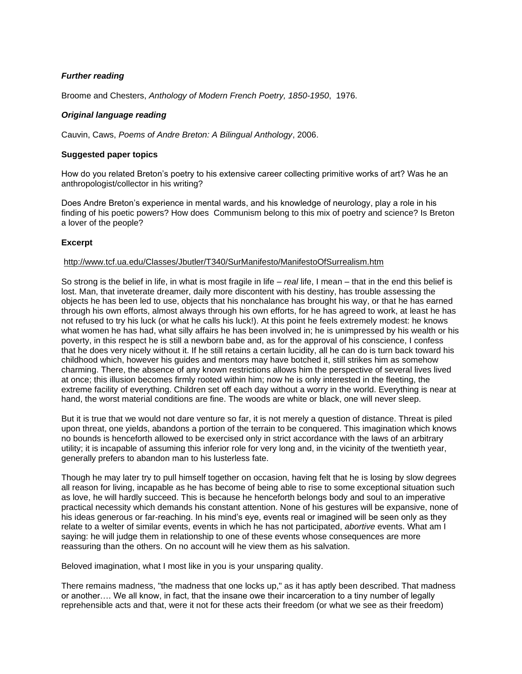## *Further reading*

Broome and Chesters, *Anthology of Modern French Poetry, 1850-1950*, 1976.

## *Original language reading*

Cauvin, Caws, *Poems of Andre Breton: A Bilingual Anthology*, 2006.

## **Suggested paper topics**

How do you related Breton's poetry to his extensive career collecting primitive works of art? Was he an anthropologist/collector in his writing?

Does Andre Breton's experience in mental wards, and his knowledge of neurology, play a role in his finding of his poetic powers? How does Communism belong to this mix of poetry and science? Is Breton a lover of the people?

## **Excerpt**

#### <http://www.tcf.ua.edu/Classes/Jbutler/T340/SurManifesto/ManifestoOfSurrealism.htm>

So strong is the belief in life, in what is most fragile in life – *real* life, I mean – that in the end this belief is lost. Man, that inveterate dreamer, daily more discontent with his destiny, has trouble assessing the objects he has been led to use, objects that his nonchalance has brought his way, or that he has earned through his own efforts, almost always through his own efforts, for he has agreed to work, at least he has not refused to try his luck (or what he calls his luck!). At this point he feels extremely modest: he knows what women he has had, what silly affairs he has been involved in; he is unimpressed by his wealth or his poverty, in this respect he is still a newborn babe and, as for the approval of his conscience, I confess that he does very nicely without it. If he still retains a certain lucidity, all he can do is turn back toward his childhood which, however his guides and mentors may have botched it, still strikes him as somehow charming. There, the absence of any known restrictions allows him the perspective of several lives lived at once; this illusion becomes firmly rooted within him; now he is only interested in the fleeting, the extreme facility of everything. Children set off each day without a worry in the world. Everything is near at hand, the worst material conditions are fine. The woods are white or black, one will never sleep.

But it is true that we would not dare venture so far, it is not merely a question of distance. Threat is piled upon threat, one yields, abandons a portion of the terrain to be conquered. This imagination which knows no bounds is henceforth allowed to be exercised only in strict accordance with the laws of an arbitrary utility; it is incapable of assuming this inferior role for very long and, in the vicinity of the twentieth year, generally prefers to abandon man to his lusterless fate.

Though he may later try to pull himself together on occasion, having felt that he is losing by slow degrees all reason for living, incapable as he has become of being able to rise to some exceptional situation such as love, he will hardly succeed. This is because he henceforth belongs body and soul to an imperative practical necessity which demands his constant attention. None of his gestures will be expansive, none of his ideas generous or far-reaching. In his mind's eye, events real or imagined will be seen only as they relate to a welter of similar events, events in which he has not participated, *abortive* events. What am I saying: he will judge them in relationship to one of these events whose consequences are more reassuring than the others. On no account will he view them as his salvation.

Beloved imagination, what I most like in you is your unsparing quality.

There remains madness, "the madness that one locks up," as it has aptly been described. That madness or another…. We all know, in fact, that the insane owe their incarceration to a tiny number of legally reprehensible acts and that, were it not for these acts their freedom (or what we see as their freedom)